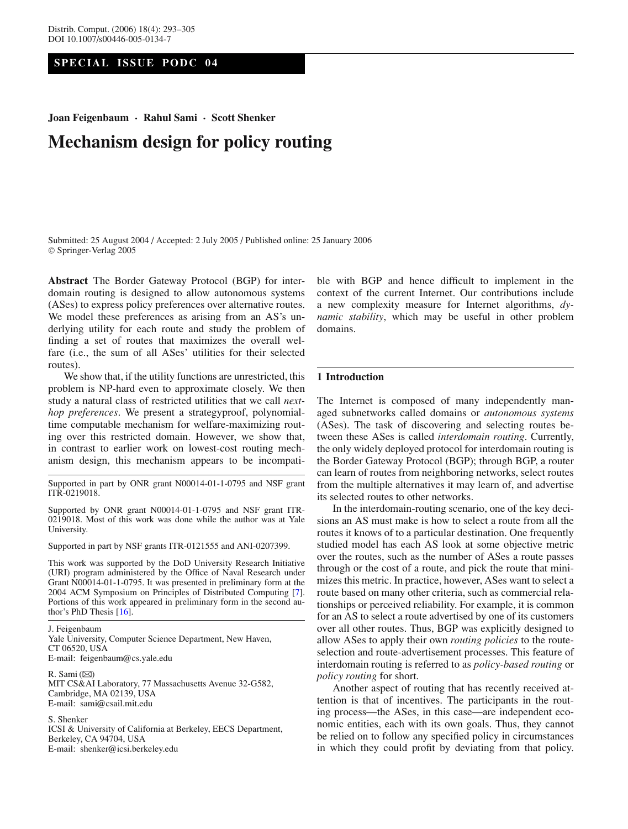# **SPECIAL ISSUE PODC 04**

**Joan Feigenbaum · Rahul Sami · Scott Shenker**

# **Mechanism design for policy routing**

Submitted: 25 August 2004 / Accepted: 2 July 2005 / Published online: 25 January 2006 <sup>C</sup> Springer-Verlag 2005

**Abstract** The Border Gateway Protocol (BGP) for interdomain routing is designed to allow autonomous systems (ASes) to express policy preferences over alternative routes. We model these preferences as arising from an AS's underlying utility for each route and study the problem of finding a set of routes that maximizes the overall welfare (i.e., the sum of all ASes' utilities for their selected routes).

We show that, if the utility functions are unrestricted, this problem is NP-hard even to approximate closely. We then study a natural class of restricted utilities that we call *nexthop preferences*. We present a strategyproof, polynomialtime computable mechanism for welfare-maximizing routing over this restricted domain. However, we show that, in contrast to earlier work on lowest-cost routing mechanism design, this mechanism appears to be incompati-

Supported in part by ONR grant N00014-01-1-0795 and NSF grant ITR-0219018.

Supported by ONR grant N00014-01-1-0795 and NSF grant ITR-0219018. Most of this work was done while the author was at Yale University.

Supported in part by NSF grants ITR-0121555 and ANI-0207399.

This work was supported by the DoD University Research Initiative (URI) program administered by the Office of Naval Research under Grant N00014-01-1-0795. It was presented in preliminary form at the 2004 ACM Symposium on Principles of Distributed Computing [\[7\]](#page-12-0). Portions of this work appeared in preliminary form in the second author's PhD Thesis [\[16](#page-12-1)].

J. Feigenbaum Yale University, Computer Science Department, New Haven, CT 06520, USA E-mail: feigenbaum@cs.yale.edu

R. Sami  $(\boxtimes)$ MIT CS&AI Laboratory, 77 Massachusetts Avenue 32-G582, Cambridge, MA 02139, USA E-mail: sami@csail.mit.edu

S. Shenker

ICSI & University of California at Berkeley, EECS Department, Berkeley, CA 94704, USA E-mail: shenker@icsi.berkeley.edu

ble with BGP and hence difficult to implement in the context of the current Internet. Our contributions include a new complexity measure for Internet algorithms, *dynamic stability*, which may be useful in other problem domains.

## **1 Introduction**

The Internet is composed of many independently managed subnetworks called domains or *autonomous systems* (ASes). The task of discovering and selecting routes between these ASes is called *interdomain routing*. Currently, the only widely deployed protocol for interdomain routing is the Border Gateway Protocol (BGP); through BGP, a router can learn of routes from neighboring networks, select routes from the multiple alternatives it may learn of, and advertise its selected routes to other networks.

In the interdomain-routing scenario, one of the key decisions an AS must make is how to select a route from all the routes it knows of to a particular destination. One frequently studied model has each AS look at some objective metric over the routes, such as the number of ASes a route passes through or the cost of a route, and pick the route that minimizes this metric. In practice, however, ASes want to select a route based on many other criteria, such as commercial relationships or perceived reliability. For example, it is common for an AS to select a route advertised by one of its customers over all other routes. Thus, BGP was explicitly designed to allow ASes to apply their own *routing policies* to the routeselection and route-advertisement processes. This feature of interdomain routing is referred to as *policy-based routing* or *policy routing* for short.

Another aspect of routing that has recently received attention is that of incentives. The participants in the routing process—the ASes, in this case—are independent economic entities, each with its own goals. Thus, they cannot be relied on to follow any specified policy in circumstances in which they could profit by deviating from that policy.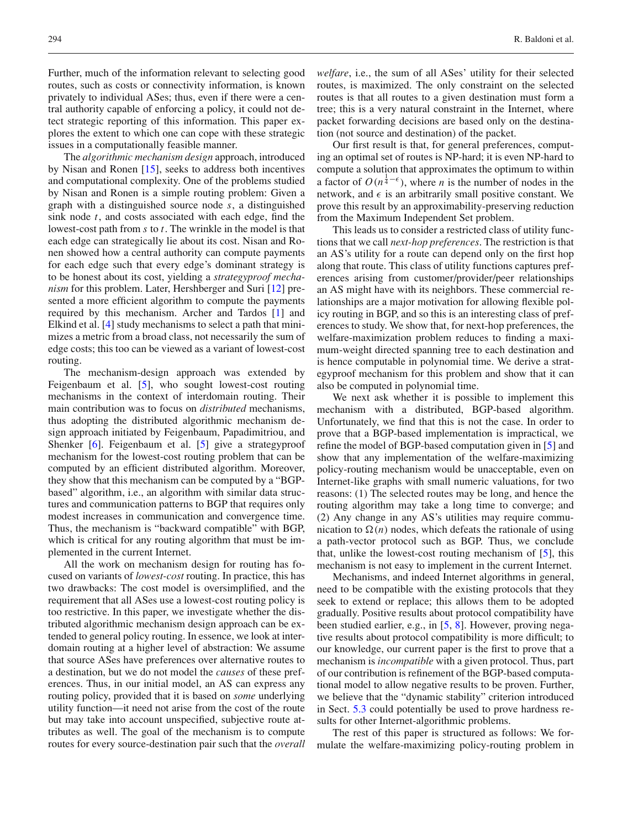Further, much of the information relevant to selecting good routes, such as costs or connectivity information, is known privately to individual ASes; thus, even if there were a central authority capable of enforcing a policy, it could not detect strategic reporting of this information. This paper explores the extent to which one can cope with these strategic issues in a computationally feasible manner.

The *algorithmic mechanism design* approach, introduced by Nisan and Ronen [\[15](#page-12-2)], seeks to address both incentives and computational complexity. One of the problems studied by Nisan and Ronen is a simple routing problem: Given a graph with a distinguished source node *s*, a distinguished sink node *t*, and costs associated with each edge, find the lowest-cost path from *s* to *t*. The wrinkle in the model is that each edge can strategically lie about its cost. Nisan and Ronen showed how a central authority can compute payments for each edge such that every edge's dominant strategy is to be honest about its cost, yielding a *strategyproof mechanism* for this problem. Later, Hershberger and Suri [\[12\]](#page-12-3) presented a more efficient algorithm to compute the payments required by this mechanism. Archer and Tardos [\[1](#page-12-4)] and Elkind et al. [\[4](#page-12-5)] study mechanisms to select a path that minimizes a metric from a broad class, not necessarily the sum of edge costs; this too can be viewed as a variant of lowest-cost routing.

The mechanism-design approach was extended by Feigenbaum et al. [\[5](#page-12-6)], who sought lowest-cost routing mechanisms in the context of interdomain routing. Their main contribution was to focus on *distributed* mechanisms, thus adopting the distributed algorithmic mechanism design approach initiated by Feigenbaum, Papadimitriou, and Shenker [\[6](#page-12-7)]. Feigenbaum et al. [\[5\]](#page-12-6) give a strategyproof mechanism for the lowest-cost routing problem that can be computed by an efficient distributed algorithm. Moreover, they show that this mechanism can be computed by a "BGPbased" algorithm, i.e., an algorithm with similar data structures and communication patterns to BGP that requires only modest increases in communication and convergence time. Thus, the mechanism is "backward compatible" with BGP, which is critical for any routing algorithm that must be implemented in the current Internet.

All the work on mechanism design for routing has focused on variants of *lowest-cost* routing. In practice, this has two drawbacks: The cost model is oversimplified, and the requirement that all ASes use a lowest-cost routing policy is too restrictive. In this paper, we investigate whether the distributed algorithmic mechanism design approach can be extended to general policy routing. In essence, we look at interdomain routing at a higher level of abstraction: We assume that source ASes have preferences over alternative routes to a destination, but we do not model the *causes* of these preferences. Thus, in our initial model, an AS can express any routing policy, provided that it is based on *some* underlying utility function—it need not arise from the cost of the route but may take into account unspecified, subjective route attributes as well. The goal of the mechanism is to compute routes for every source-destination pair such that the *overall* *welfare*, i.e., the sum of all ASes' utility for their selected routes, is maximized. The only constraint on the selected routes is that all routes to a given destination must form a tree; this is a very natural constraint in the Internet, where packet forwarding decisions are based only on the destination (not source and destination) of the packet.

Our first result is that, for general preferences, computing an optimal set of routes is NP-hard; it is even NP-hard to compute a solution that approximates the optimum to within a factor of  $O(n^{\frac{1}{4}-\epsilon})$ , where *n* is the number of nodes in the network, and  $\epsilon$  is an arbitrarily small positive constant. We prove this result by an approximability-preserving reduction from the Maximum Independent Set problem.

This leads us to consider a restricted class of utility functions that we call *next-hop preferences*. The restriction is that an AS's utility for a route can depend only on the first hop along that route. This class of utility functions captures preferences arising from customer/provider/peer relationships an AS might have with its neighbors. These commercial relationships are a major motivation for allowing flexible policy routing in BGP, and so this is an interesting class of preferences to study. We show that, for next-hop preferences, the welfare-maximization problem reduces to finding a maximum-weight directed spanning tree to each destination and is hence computable in polynomial time. We derive a strategyproof mechanism for this problem and show that it can also be computed in polynomial time.

We next ask whether it is possible to implement this mechanism with a distributed, BGP-based algorithm. Unfortunately, we find that this is not the case. In order to prove that a BGP-based implementation is impractical, we refine the model of BGP-based computation given in [\[5](#page-12-6)] and show that any implementation of the welfare-maximizing policy-routing mechanism would be unacceptable, even on Internet-like graphs with small numeric valuations, for two reasons: (1) The selected routes may be long, and hence the routing algorithm may take a long time to converge; and (2) Any change in any AS's utilities may require communication to  $\Omega(n)$  nodes, which defeats the rationale of using a path-vector protocol such as BGP. Thus, we conclude that, unlike the lowest-cost routing mechanism of [\[5\]](#page-12-6), this mechanism is not easy to implement in the current Internet.

Mechanisms, and indeed Internet algorithms in general, need to be compatible with the existing protocols that they seek to extend or replace; this allows them to be adopted gradually. Positive results about protocol compatibility have been studied earlier, e.g., in [\[5,](#page-12-6) [8](#page-12-8)]. However, proving negative results about protocol compatibility is more difficult; to our knowledge, our current paper is the first to prove that a mechanism is *incompatible* with a given protocol. Thus, part of our contribution is refinement of the BGP-based computational model to allow negative results to be proven. Further, we believe that the "dynamic stability" criterion introduced in Sect. [5.3](#page-7-0) could potentially be used to prove hardness results for other Internet-algorithmic problems.

The rest of this paper is structured as follows: We formulate the welfare-maximizing policy-routing problem in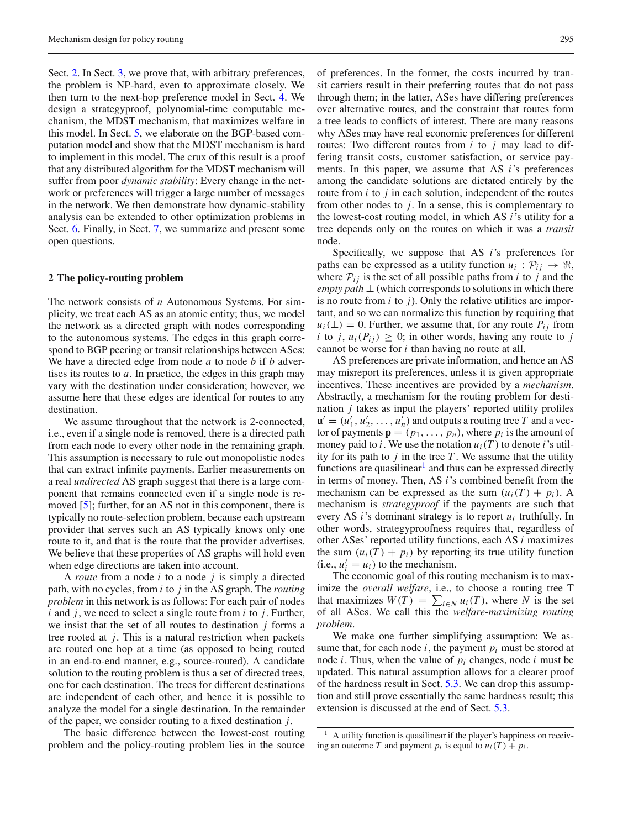Sect. [2.](#page-2-0) In Sect. [3,](#page-3-0) we prove that, with arbitrary preferences, the problem is NP-hard, even to approximate closely. We then turn to the next-hop preference model in Sect. [4.](#page-4-0) We design a strategyproof, polynomial-time computable mechanism, the MDST mechanism, that maximizes welfare in this model. In Sect. [5,](#page-5-0) we elaborate on the BGP-based computation model and show that the MDST mechanism is hard to implement in this model. The crux of this result is a proof that any distributed algorithm for the MDST mechanism will suffer from poor *dynamic stability*: Every change in the network or preferences will trigger a large number of messages in the network. We then demonstrate how dynamic-stability analysis can be extended to other optimization problems in Sect. [6.](#page-9-0) Finally, in Sect. [7,](#page-11-0) we summarize and present some open questions.

## <span id="page-2-0"></span>**2 The policy-routing problem**

The network consists of *n* Autonomous Systems. For simplicity, we treat each AS as an atomic entity; thus, we model the network as a directed graph with nodes corresponding to the autonomous systems. The edges in this graph correspond to BGP peering or transit relationships between ASes: We have a directed edge from node *a* to node *b* if *b* advertises its routes to *a*. In practice, the edges in this graph may vary with the destination under consideration; however, we assume here that these edges are identical for routes to any destination.

We assume throughout that the network is 2-connected, i.e., even if a single node is removed, there is a directed path from each node to every other node in the remaining graph. This assumption is necessary to rule out monopolistic nodes that can extract infinite payments. Earlier measurements on a real *undirected* AS graph suggest that there is a large component that remains connected even if a single node is re-moved [\[5\]](#page-12-6); further, for an AS not in this component, there is typically no route-selection problem, because each upstream provider that serves such an AS typically knows only one route to it, and that is the route that the provider advertises. We believe that these properties of AS graphs will hold even when edge directions are taken into account.

A *route* from a node *i* to a node *j* is simply a directed path, with no cycles, from *i* to *j* in the AS graph. The *routing problem* in this network is as follows: For each pair of nodes *i* and *j*, we need to select a single route from *i* to *j*. Further, we insist that the set of all routes to destination *j* forms a tree rooted at *j*. This is a natural restriction when packets are routed one hop at a time (as opposed to being routed in an end-to-end manner, e.g., source-routed). A candidate solution to the routing problem is thus a set of directed trees, one for each destination. The trees for different destinations are independent of each other, and hence it is possible to analyze the model for a single destination. In the remainder of the paper, we consider routing to a fixed destination *j*.

The basic difference between the lowest-cost routing problem and the policy-routing problem lies in the source of preferences. In the former, the costs incurred by transit carriers result in their preferring routes that do not pass through them; in the latter, ASes have differing preferences over alternative routes, and the constraint that routes form a tree leads to conflicts of interest. There are many reasons why ASes may have real economic preferences for different routes: Two different routes from *i* to *j* may lead to differing transit costs, customer satisfaction, or service payments. In this paper, we assume that AS *i*'s preferences among the candidate solutions are dictated entirely by the route from *i* to *j* in each solution, independent of the routes from other nodes to *j*. In a sense, this is complementary to the lowest-cost routing model, in which AS *i*'s utility for a tree depends only on the routes on which it was a *transit* node.

Specifically, we suppose that AS *i*'s preferences for paths can be expressed as a utility function  $u_i$ :  $\mathcal{P}_{ij} \rightarrow \mathfrak{R}$ , where  $P_{ij}$  is the set of all possible paths from *i* to *j* and the *empty path* ⊥ (which corresponds to solutions in which there is no route from *i* to *j*). Only the relative utilities are important, and so we can normalize this function by requiring that  $u_i(\perp) = 0$ . Further, we assume that, for any route  $P_{ij}$  from *i* to *j*,  $u_i(P_{ij}) \geq 0$ ; in other words, having any route to *j* cannot be worse for *i* than having no route at all.

AS preferences are private information, and hence an AS may misreport its preferences, unless it is given appropriate incentives. These incentives are provided by a *mechanism*. Abstractly, a mechanism for the routing problem for destination *j* takes as input the players' reported utility profiles  $\mathbf{u}' = (u'_1, u'_2, \dots, u'_n)$  and outputs a routing tree *T* and a vector of payments  $\mathbf{p} = (p_1, \ldots, p_n)$ , where  $p_i$  is the amount of money paid to *i*. We use the notation  $u_i(T)$  to denote *i*'s utility for its path to  $j$  in the tree  $T$ . We assume that the utility functions are quasilinear<sup>1</sup> and thus can be expressed directly in terms of money. Then, AS *i*'s combined benefit from the mechanism can be expressed as the sum  $(u_i(T) + p_i)$ . A mechanism is *strategyproof* if the payments are such that every AS *i*'s dominant strategy is to report *ui* truthfully. In other words, strategyproofness requires that, regardless of other ASes' reported utility functions, each AS *i* maximizes the sum  $(u_i(T) + p_i)$  by reporting its true utility function  $(i.e., u'_i = u_i)$  to the mechanism.

The economic goal of this routing mechanism is to maximize the *overall welfare*, i.e., to choose a routing tree T that maximizes  $W(T) = \sum_{i \in N} u_i(T)$ , where *N* is the set of all ASes. We call this the *welfare-maximizing routing problem*.

We make one further simplifying assumption: We assume that, for each node  $i$ , the payment  $p_i$  must be stored at node *i*. Thus, when the value of *pi* changes, node *i* must be updated. This natural assumption allows for a clearer proof of the hardness result in Sect. [5.3.](#page-7-0) We can drop this assumption and still prove essentially the same hardness result; this extension is discussed at the end of Sect. [5.3.](#page-7-0)

<span id="page-2-1"></span><sup>1</sup> A utility function is quasilinear if the player's happiness on receiving an outcome *T* and payment  $p_i$  is equal to  $u_i(T) + p_i$ .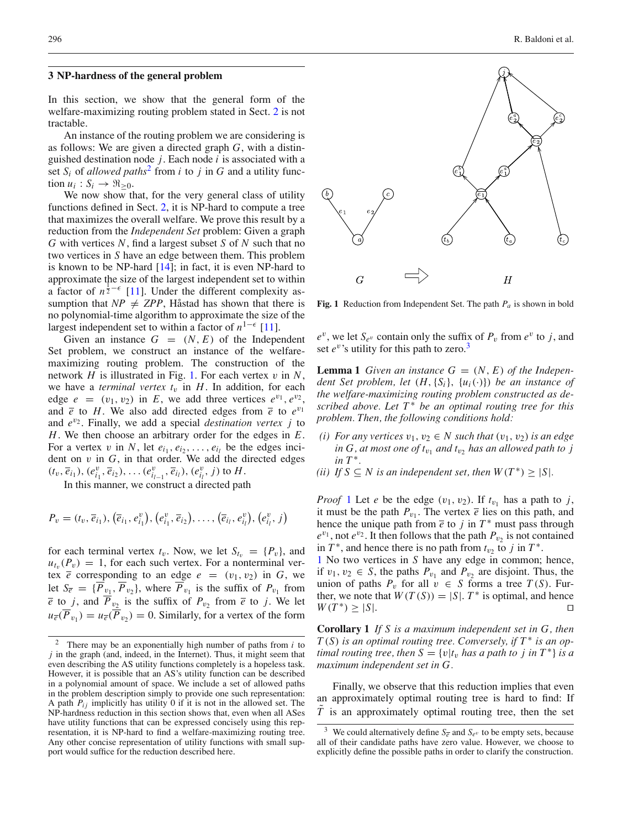## <span id="page-3-0"></span>**3 NP-hardness of the general problem**

In this section, we show that the general form of the welfare-maximizing routing problem stated in Sect. [2](#page-2-0) is not tractable.

An instance of the routing problem we are considering is as follows: We are given a directed graph *G*, with a distinguished destination node *j*. Each node *i* is associated with a set  $S_i$  of *allowed paths*<sup>[2](#page-3-1)</sup> from *i* to *j* in *G* and a utility function  $u_i: S_i \to \Re_{\geq 0}$ .

We now show that, for the very general class of utility functions defined in Sect. [2,](#page-2-0) it is NP-hard to compute a tree that maximizes the overall welfare. We prove this result by a reduction from the *Independent Set* problem: Given a graph *G* with vertices *N*, find a largest subset *S* of *N* such that no two vertices in *S* have an edge between them. This problem is known to be NP-hard [\[14](#page-12-9)]; in fact, it is even NP-hard to approximate the size of the largest independent set to within a factor of  $n^{\frac{1}{2}-\epsilon}$  [\[11](#page-12-10)]. Under the different complexity assumption that  $NP \neq ZPP$ , Håstad has shown that there is no polynomial-time algorithm to approximate the size of the largest independent set to within a factor of  $n^{1-\epsilon}$  [\[11](#page-12-10)].

Given an instance  $G = (N, E)$  of the Independent Set problem, we construct an instance of the welfaremaximizing routing problem. The construction of the network  $H$  is illustrated in Fig. [1.](#page-3-2) For each vertex  $v$  in  $N$ , we have a *terminal vertex*  $t_v$  in  $H$ . In addition, for each edge  $e = (v_1, v_2)$  in *E*, we add three vertices  $e^{v_1}$ ,  $e^{v_2}$ , and  $\bar{e}$  to *H*. We also add directed edges from  $\bar{e}$  to  $e^{v_1}$ and *e*v<sup>2</sup> . Finally, we add a special *destination vertex j* to *H*. We then choose an arbitrary order for the edges in *E*. For a vertex v in N, let  $e_{i_1}, e_{i_2}, \ldots, e_{i_l}$  be the edges incident on v in *G*, in that order. We add the directed edges  $(t_v, \overline{e}_{i_1}), (e_{i_1}^v, \overline{e}_{i_2}), \ldots (e_{i_{l-1}}^v, \overline{e}_{i_l}), (e_{i_l}^v, j)$  to *H*.

In this manner, we construct a directed path

$$
P_v = (t_v, \overline{e}_{i_1}), (\overline{e}_{i_1}, e_{i_1}^v), (e_{i_1}^v, \overline{e}_{i_2}), \ldots, (\overline{e}_{i_l}, e_{i_l}^v), (e_{i_l}^v, j)
$$

for each terminal vertex  $t_v$ . Now, we let  $S_{t_v} = \{P_v\}$ , and  $u_{t_1}(P_v) = 1$ , for each such vertex. For a nonterminal vertex  $\overline{e}$  corresponding to an edge  $e = (v_1, v_2)$  in *G*, we let  $S_{\overline{e}} = {\overline{P}_{v_1}, \overline{P}_{v_2}}$ , where  $\overline{P}_{v_1}$  is the suffix of  $P_{v_1}$  from  $\overline{e}$  to *j*, and  $\overline{P}_{v_2}$  is the suffix of  $P_{v_2}$  from  $\overline{e}$  to *j*. We let  $u_{\overline{e}}(P_{v_1}) = u_{\overline{e}}(P_{v_2}) = 0$ . Similarly, for a vertex of the form



<span id="page-3-2"></span>**Fig. 1** Reduction from Independent Set. The path  $P_a$  is shown in bold

<span id="page-3-4"></span> $e^{v}$ , we let  $S_{e^{v}}$  contain only the suffix of  $P_{v}$  from  $e^{v}$  to *j*, and set  $e^v$ 's utility for this path to zero.<sup>3</sup>

**Lemma 1** *Given an instance*  $G = (N, E)$  *of the Independent Set problem, let*  $(H, \{S_i\}, \{u_i(\cdot)\})$  *be an instance of the welfare-maximizing routing problem constructed as described above. Let*  $T^*$  *be an optimal routing tree for this problem. Then, the following conditions hold:*

- *(i) For any vertices*  $v_1, v_2 \in N$  *such that*  $(v_1, v_2)$  *is an edge in G, at most one of t*<sub>v<sub>1</sub></sub> *and t*<sub>v<sub>2</sub></sub> *has an allowed path to j in*  $T^*$ .
- *(ii) If*  $S \subseteq N$  *is an independent set, then*  $W(T^*) \ge |S|$ *.*

*Proof* [1](#page-3-4) Let *e* be the edge  $(v_1, v_2)$ . If  $t_{v_1}$  has a path to *j*, it must be the path  $P_{v_1}$ . The vertex  $\bar{e}$  lies on this path, and hence the unique path from  $\bar{e}$  to  $j$  in  $T^*$  must pass through  $e^{v_1}$ , not  $e^{v_2}$ . It then follows that the path  $P_{v_2}$  is not contained in  $T^*$ , and hence there is no path from  $t_v$ , to *j* in  $T^*$ .

[1](#page-3-4) No two vertices in *S* have any edge in common; hence, if  $v_1, v_2 \in S$ , the paths  $P_{v_1}$  and  $P_{v_2}$  are disjoint. Thus, the union of paths  $P_v$  for all  $v \in S$  forms a tree  $T(S)$ . Further, we note that  $W(T(S)) = |S|$ .  $T^*$  is optimal, and hence  $W(T^*) > |S|$ .

**Corollary 1** *If S is a maximum independent set in G, then*  $T(S)$  *is an optimal routing tree. Conversely, if*  $T^*$  *is an optimal routing tree, then*  $S = \{v | t_v \text{ has } a \text{ path to } j \text{ in } T^*\}$  *is a maximum independent set in G.*

Finally, we observe that this reduction implies that even an approximately optimal routing tree is hard to find: If  $\overline{T}$  is an approximately optimal routing tree, then the set

<span id="page-3-1"></span><sup>2</sup> There may be an exponentially high number of paths from *i* to *j* in the graph (and, indeed, in the Internet). Thus, it might seem that even describing the AS utility functions completely is a hopeless task. However, it is possible that an AS's utility function can be described in a polynomial amount of space. We include a set of allowed paths in the problem description simply to provide one such representation: A path  $P_{ij}$  implicitly has utility 0 if it is not in the allowed set. The NP-hardness reduction in this section shows that, even when all ASes have utility functions that can be expressed concisely using this representation, it is NP-hard to find a welfare-maximizing routing tree. Any other concise representation of utility functions with small support would suffice for the reduction described here.

<span id="page-3-3"></span><sup>&</sup>lt;sup>3</sup> We could alternatively define  $S_{\overline{e}}$  and  $S_{e^v}$  to be empty sets, because all of their candidate paths have zero value. However, we choose to explicitly define the possible paths in order to clarify the construction.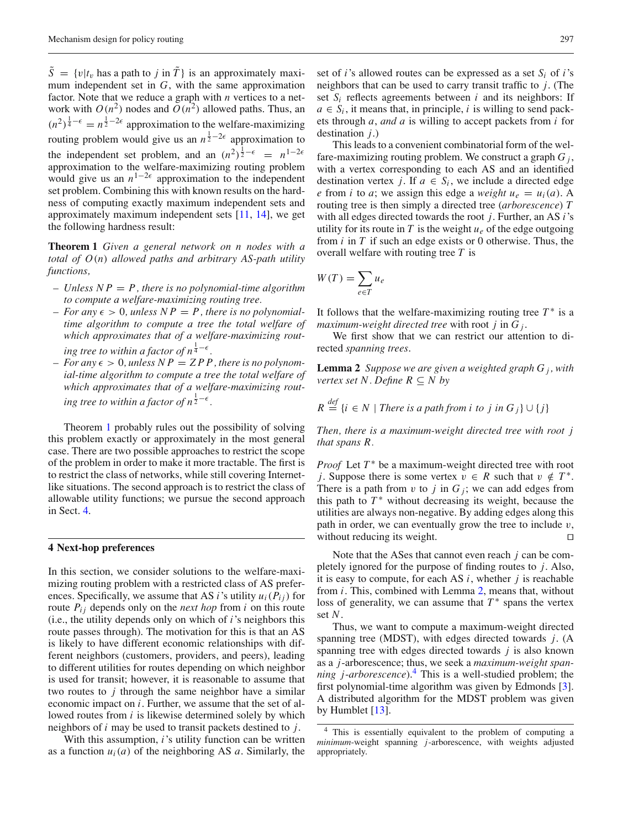$\tilde{S} = \{v | t_v \text{ has a path to } j \text{ in } \tilde{T} \}$  is an approximately maximum independent set in *G*, with the same approximation factor. Note that we reduce a graph with *n* vertices to a network with  $O(n^2)$  nodes and  $O(n^2)$  allowed paths. Thus, an  $(n^2)^{\frac{1}{4}-\epsilon} = n^{\frac{1}{2}-2\epsilon}$  approximation to the welfare-maximizing routing problem would give us an  $n^{\frac{1}{2}-2\epsilon}$  approximation to the independent set problem, and an  $(n^2)^{\frac{1}{2} - \epsilon} = n^{1 - 2\epsilon}$ approximation to the welfare-maximizing routing problem would give us an  $n^{1-2\epsilon}$  approximation to the independent set problem. Combining this with known results on the hardness of computing exactly maximum independent sets and approximately maximum independent sets [\[11,](#page-12-10) [14\]](#page-12-9), we get the following hardness result:

<span id="page-4-1"></span>**Theorem 1** *Given a general network on n nodes with a total of O*(*n*) *allowed paths and arbitrary AS-path utility functions,*

- *Unless N P* = *P, there is no polynomial-time algorithm to compute a welfare-maximizing routing tree.*
- $-$  *For any*  $\epsilon > 0$ , *unless*  $NP = P$ , *there is no polynomial time algorithm to compute a tree the total welfare of which approximates that of a welfare-maximizing rout-* $\int$ *ing tree to within a factor of n*<sup> $\frac{1}{4} - \epsilon$ </sup>.
- $For any  $\epsilon > 0$ , unless  $NP = ZPP$ , there is no polynomial$ *ial-time algorithm to compute a tree the total welfare of which approximates that of a welfare-maximizing rout-* $\int$ ing tree to within a factor of n<sup> $\frac{1}{2}$ − $\epsilon$  .</sup>

Theorem [1](#page-4-1) probably rules out the possibility of solving this problem exactly or approximately in the most general case. There are two possible approaches to restrict the scope of the problem in order to make it more tractable. The first is to restrict the class of networks, while still covering Internetlike situations. The second approach is to restrict the class of allowable utility functions; we pursue the second approach in Sect. [4.](#page-4-0)

## <span id="page-4-0"></span>**4 Next-hop preferences**

In this section, we consider solutions to the welfare-maximizing routing problem with a restricted class of AS preferences. Specifically, we assume that AS *i*'s utility  $u_i(P_{ij})$  for route  $P_{ij}$  depends only on the *next hop* from *i* on this route (i.e., the utility depends only on which of *i*'s neighbors this route passes through). The motivation for this is that an AS is likely to have different economic relationships with different neighbors (customers, providers, and peers), leading to different utilities for routes depending on which neighbor is used for transit; however, it is reasonable to assume that two routes to *j* through the same neighbor have a similar economic impact on *i*. Further, we assume that the set of allowed routes from *i* is likewise determined solely by which neighbors of *i* may be used to transit packets destined to *j*.

With this assumption, *i*'s utility function can be written as a function  $u_i(a)$  of the neighboring AS *a*. Similarly, the set of *i*'s allowed routes can be expressed as a set  $S_i$  of *i*'s neighbors that can be used to carry transit traffic to *j*. (The set  $S_i$  reflects agreements between  $i$  and its neighbors: If  $a \in S_i$ , it means that, in principle, *i* is willing to send packets through *a*, *and a* is willing to accept packets from *i* for destination *j*.)

This leads to a convenient combinatorial form of the welfare-maximizing routing problem. We construct a graph *G <sup>j</sup>* , with a vertex corresponding to each AS and an identified destination vertex *j*. If  $a \in S_i$ , we include a directed edge *e* from *i* to *a*; we assign this edge a *weight*  $u_e = u_i(a)$ . A routing tree is then simply a directed tree (*arborescence*) *T* with all edges directed towards the root *j*. Further, an AS *i*'s utility for its route in *T* is the weight  $u_e$  of the edge outgoing from *i* in *T* if such an edge exists or 0 otherwise. Thus, the overall welfare with routing tree *T* is

$$
W(T) = \sum_{e \in T} u_e
$$

It follows that the welfare-maximizing routing tree  $T^*$  is a *maximum-weight directed tree* with root  $j$  in  $G_j$ .

<span id="page-4-2"></span>We first show that we can restrict our attention to directed *spanning trees*.

**Lemma 2** *Suppose we are given a weighted graph*  $G_i$ *, with vertex set N. Define*  $R \subseteq N$  *by* 

$$
R \stackrel{\text{def}}{=} \{i \in N \mid \text{There is a path from } i \text{ to } j \text{ in } G_j\} \cup \{j\}
$$

*Then, there is a maximum-weight directed tree with root j that spans R.*

*Proof* Let  $T^*$  be a maximum-weight directed tree with root *j*. Suppose there is some vertex  $v \in R$  such that  $v \notin T^*$ . There is a path from  $v$  to  $j$  in  $G_j$ ; we can add edges from this path to  $T^*$  without decreasing its weight, because the utilities are always non-negative. By adding edges along this path in order, we can eventually grow the tree to include  $v$ , without reducing its weight.

Note that the ASes that cannot even reach *j* can be completely ignored for the purpose of finding routes to *j*. Also, it is easy to compute, for each AS *i*, whether *j* is reachable from *i*. This, combined with Lemma [2,](#page-4-2) means that, without loss of generality, we can assume that  $T^*$  spans the vertex set *N*.

Thus, we want to compute a maximum-weight directed spanning tree (MDST), with edges directed towards *j*. (A spanning tree with edges directed towards *j* is also known as a *j*-arborescence; thus, we seek a *maximum-weight spanning j*-*arborescence*)[.4](#page-4-3) This is a well-studied problem; the first polynomial-time algorithm was given by Edmonds [\[3\]](#page-12-11). A distributed algorithm for the MDST problem was given by Humblet [\[13\]](#page-12-12).

<span id="page-4-3"></span><sup>4</sup> This is essentially equivalent to the problem of computing a *minimum*-weight spanning *j*-arborescence, with weights adjusted appropriately.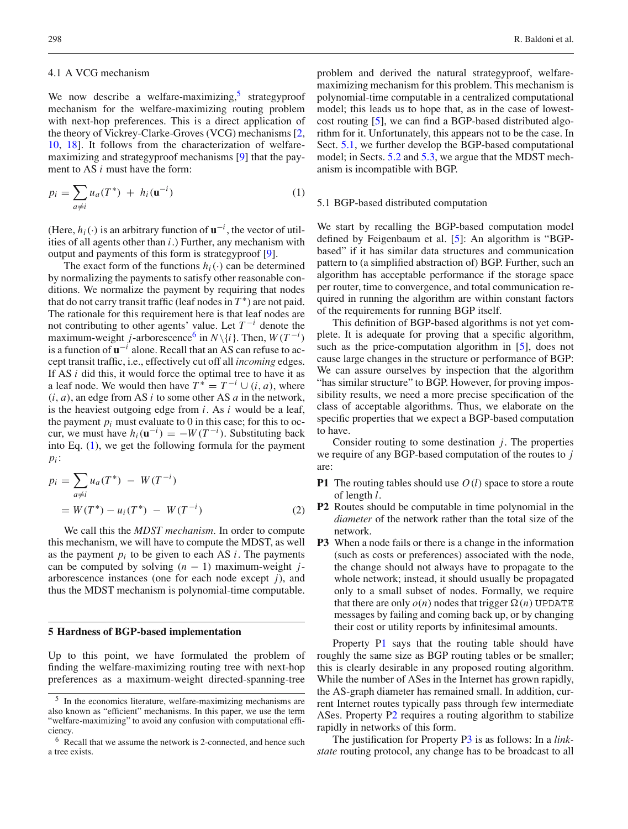#### 4.1 A VCG mechanism

We now describe a welfare-maximizing,<sup>5</sup> strategyproof mechanism for the welfare-maximizing routing problem with next-hop preferences. This is a direct application of the theory of Vickrey-Clarke-Groves (VCG) mechanisms [\[2](#page-12-13), [10,](#page-12-14) [18](#page-12-15)]. It follows from the characterization of welfaremaximizing and strategyproof mechanisms [\[9](#page-12-16)] that the payment to AS *i* must have the form:

<span id="page-5-3"></span>
$$
p_i = \sum_{a \neq i} u_a(T^*) + h_i(\mathbf{u}^{-i})
$$
 (1)

(Here,  $h_i(·)$ ) is an arbitrary function of  $\mathbf{u}^{-i}$ , the vector of utilities of all agents other than *i*.) Further, any mechanism with output and payments of this form is strategyproof [\[9\]](#page-12-16).

The exact form of the functions  $h_i(\cdot)$  can be determined by normalizing the payments to satisfy other reasonable conditions. We normalize the payment by requiring that nodes that do not carry transit traffic (leaf nodes in  $T^*$ ) are not paid. The rationale for this requirement here is that leaf nodes are not contributing to other agents' value. Let  $T^{-i}$  denote the maximum-weight *j*-arborescence<sup>[6](#page-5-2)</sup> in  $N\setminus\{i\}$ . Then,  $W(T^{-i})$ is a function of **u**−*<sup>i</sup>* alone. Recall that an AS can refuse to accept transit traffic, i.e., effectively cut off all *incoming* edges. If AS *i* did this, it would force the optimal tree to have it as a leaf node. We would then have  $T^* = T^{-i} \cup (i, a)$ , where  $(i, a)$ , an edge from AS *i* to some other AS *a* in the network, is the heaviest outgoing edge from *i*. As *i* would be a leaf, the payment  $p_i$  must evaluate to 0 in this case; for this to occur, we must have  $h_i(\mathbf{u}^{-i}) = -W(T^{-i})$ . Substituting back into Eq. [\(1\)](#page-5-3), we get the following formula for the payment  $p_i$ :

<span id="page-5-8"></span>
$$
p_i = \sum_{a \neq i} u_a(T^*) - W(T^{-i})
$$
  
=  $W(T^*) - u_i(T^*) - W(T^{-i})$  (2)

We call this the *MDST mechanism*. In order to compute this mechanism, we will have to compute the MDST, as well as the payment  $p_i$  to be given to each AS  $i$ . The payments can be computed by solving  $(n - 1)$  maximum-weight *j*arborescence instances (one for each node except *j*), and thus the MDST mechanism is polynomial-time computable.

## <span id="page-5-0"></span>**5 Hardness of BGP-based implementation**

Up to this point, we have formulated the problem of finding the welfare-maximizing routing tree with next-hop preferences as a maximum-weight directed-spanning-tree problem and derived the natural strategyproof, welfaremaximizing mechanism for this problem. This mechanism is polynomial-time computable in a centralized computational model; this leads us to hope that, as in the case of lowestcost routing [\[5](#page-12-6)], we can find a BGP-based distributed algorithm for it. Unfortunately, this appears not to be the case. In Sect. [5.1,](#page-5-4) we further develop the BGP-based computational model; in Sects. [5.2](#page-6-0) and [5.3,](#page-7-0) we argue that the MDST mechanism is incompatible with BGP.

#### <span id="page-5-4"></span>5.1 BGP-based distributed computation

We start by recalling the BGP-based computation model defined by Feigenbaum et al. [\[5\]](#page-12-6): An algorithm is "BGPbased" if it has similar data structures and communication pattern to (a simplified abstraction of) BGP. Further, such an algorithm has acceptable performance if the storage space per router, time to convergence, and total communication required in running the algorithm are within constant factors of the requirements for running BGP itself.

This definition of BGP-based algorithms is not yet complete. It is adequate for proving that a specific algorithm, such as the price-computation algorithm in [\[5](#page-12-6)], does not cause large changes in the structure or performance of BGP: We can assure ourselves by inspection that the algorithm "has similar structure" to BGP. However, for proving impossibility results, we need a more precise specification of the class of acceptable algorithms. Thus, we elaborate on the specific properties that we expect a BGP-based computation to have.

Consider routing to some destination *j*. The properties we require of any BGP-based computation of the routes to *j* are:

- <span id="page-5-5"></span>**P1** The routing tables should use *O*(*l*) space to store a route of length *l*.
- <span id="page-5-6"></span>**P2** Routes should be computable in time polynomial in the *diameter* of the network rather than the total size of the network.
- <span id="page-5-7"></span>**P3** When a node fails or there is a change in the information (such as costs or preferences) associated with the node, the change should not always have to propagate to the whole network; instead, it should usually be propagated only to a small subset of nodes. Formally, we require that there are only  $o(n)$  nodes that trigger  $\Omega(n)$  UPDATE messages by failing and coming back up, or by changing their cost or utility reports by infinitesimal amounts.

Property [P1](#page-5-5) says that the routing table should have roughly the same size as BGP routing tables or be smaller; this is clearly desirable in any proposed routing algorithm. While the number of ASes in the Internet has grown rapidly, the AS-graph diameter has remained small. In addition, current Internet routes typically pass through few intermediate ASes. Property [P2](#page-5-6) requires a routing algorithm to stabilize rapidly in networks of this form.

The justification for Property [P3](#page-5-7) is as follows: In a *linkstate* routing protocol, any change has to be broadcast to all

<span id="page-5-1"></span><sup>5</sup> In the economics literature, welfare-maximizing mechanisms are also known as "efficient" mechanisms. In this paper, we use the term "welfare-maximizing" to avoid any confusion with computational efficiency.

<span id="page-5-2"></span><sup>6</sup> Recall that we assume the network is 2-connected, and hence such a tree exists.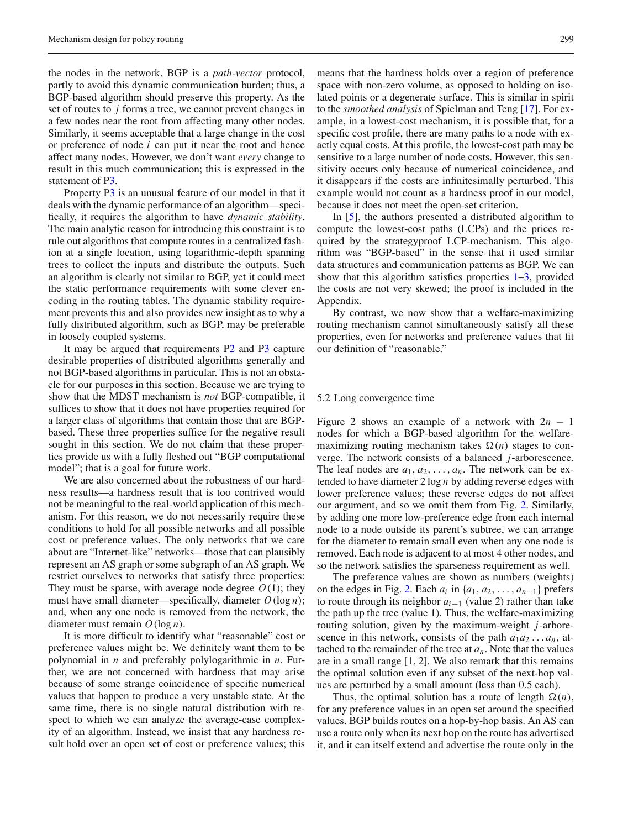the nodes in the network. BGP is a *path-vector* protocol, partly to avoid this dynamic communication burden; thus, a BGP-based algorithm should preserve this property. As the set of routes to *j* forms a tree, we cannot prevent changes in a few nodes near the root from affecting many other nodes. Similarly, it seems acceptable that a large change in the cost or preference of node *i* can put it near the root and hence affect many nodes. However, we don't want *every* change to result in this much communication; this is expressed in the statement of [P3.](#page-5-7)

Property [P3](#page-5-7) is an unusual feature of our model in that it deals with the dynamic performance of an algorithm—specifically, it requires the algorithm to have *dynamic stability*. The main analytic reason for introducing this constraint is to rule out algorithms that compute routes in a centralized fashion at a single location, using logarithmic-depth spanning trees to collect the inputs and distribute the outputs. Such an algorithm is clearly not similar to BGP, yet it could meet the static performance requirements with some clever encoding in the routing tables. The dynamic stability requirement prevents this and also provides new insight as to why a fully distributed algorithm, such as BGP, may be preferable in loosely coupled systems.

It may be argued that requirements [P2](#page-5-6) and [P3](#page-5-7) capture desirable properties of distributed algorithms generally and not BGP-based algorithms in particular. This is not an obstacle for our purposes in this section. Because we are trying to show that the MDST mechanism is *not* BGP-compatible, it suffices to show that it does not have properties required for a larger class of algorithms that contain those that are BGPbased. These three properties suffice for the negative result sought in this section. We do not claim that these properties provide us with a fully fleshed out "BGP computational model"; that is a goal for future work.

We are also concerned about the robustness of our hardness results—a hardness result that is too contrived would not be meaningful to the real-world application of this mechanism. For this reason, we do not necessarily require these conditions to hold for all possible networks and all possible cost or preference values. The only networks that we care about are "Internet-like" networks—those that can plausibly represent an AS graph or some subgraph of an AS graph. We restrict ourselves to networks that satisfy three properties: They must be sparse, with average node degree  $O(1)$ ; they must have small diameter—specifically, diameter *O*(log *n*); and, when any one node is removed from the network, the diameter must remain *O*(log *n*).

It is more difficult to identify what "reasonable" cost or preference values might be. We definitely want them to be polynomial in *n* and preferably polylogarithmic in *n*. Further, we are not concerned with hardness that may arise because of some strange coincidence of specific numerical values that happen to produce a very unstable state. At the same time, there is no single natural distribution with respect to which we can analyze the average-case complexity of an algorithm. Instead, we insist that any hardness result hold over an open set of cost or preference values; this means that the hardness holds over a region of preference space with non-zero volume, as opposed to holding on isolated points or a degenerate surface. This is similar in spirit to the *smoothed analysis* of Spielman and Teng [\[17](#page-12-17)]. For example, in a lowest-cost mechanism, it is possible that, for a specific cost profile, there are many paths to a node with exactly equal costs. At this profile, the lowest-cost path may be sensitive to a large number of node costs. However, this sensitivity occurs only because of numerical coincidence, and it disappears if the costs are infinitesimally perturbed. This example would not count as a hardness proof in our model, because it does not meet the open-set criterion.

In [\[5\]](#page-12-6), the authors presented a distributed algorithm to compute the lowest-cost paths (LCPs) and the prices required by the strategyproof LCP-mechanism. This algorithm was "BGP-based" in the sense that it used similar data structures and communication patterns as BGP. We can show that this algorithm satisfies properties  $1-3$  $1-3$ , provided the costs are not very skewed; the proof is included in the Appendix.

By contrast, we now show that a welfare-maximizing routing mechanism cannot simultaneously satisfy all these properties, even for networks and preference values that fit our definition of "reasonable."

## <span id="page-6-0"></span>5.2 Long convergence time

Figure 2 shows an example of a network with  $2n - 1$ nodes for which a BGP-based algorithm for the welfaremaximizing routing mechanism takes  $\Omega(n)$  stages to converge. The network consists of a balanced *j*-arborescence. The leaf nodes are  $a_1, a_2, \ldots, a_n$ . The network can be extended to have diameter 2 log *n* by adding reverse edges with lower preference values; these reverse edges do not affect our argument, and so we omit them from Fig. [2.](#page-7-1) Similarly, by adding one more low-preference edge from each internal node to a node outside its parent's subtree, we can arrange for the diameter to remain small even when any one node is removed. Each node is adjacent to at most 4 other nodes, and so the network satisfies the sparseness requirement as well.

The preference values are shown as numbers (weights) on the edges in Fig. [2.](#page-7-1) Each  $a_i$  in  $\{a_1, a_2, \ldots, a_{n-1}\}$  prefers to route through its neighbor  $a_{i+1}$  (value 2) rather than take the path up the tree (value 1). Thus, the welfare-maximizing routing solution, given by the maximum-weight *j*-arborescence in this network, consists of the path  $a_1a_2 \ldots a_n$ , attached to the remainder of the tree at  $a_n$ . Note that the values are in a small range [1, 2]. We also remark that this remains the optimal solution even if any subset of the next-hop values are perturbed by a small amount (less than 0.5 each).

Thus, the optimal solution has a route of length  $\Omega(n)$ , for any preference values in an open set around the specified values. BGP builds routes on a hop-by-hop basis. An AS can use a route only when its next hop on the route has advertised it, and it can itself extend and advertise the route only in the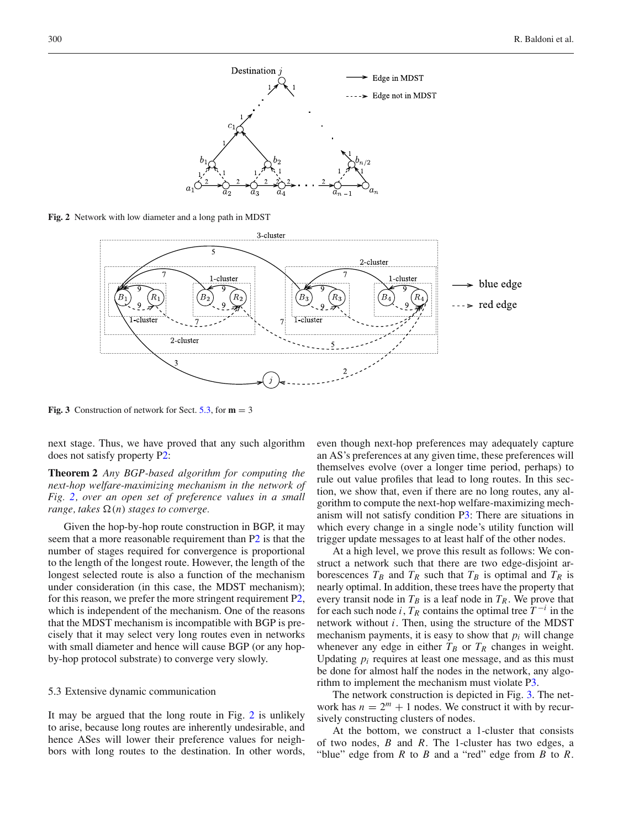

<span id="page-7-1"></span>**Fig. 2** Network with low diameter and a long path in MDST



<span id="page-7-2"></span>**Fig. 3** Construction of network for Sect. [5.3,](#page-7-0) for  $m = 3$ 

next stage. Thus, we have proved that any such algorithm does not satisfy property [P2:](#page-5-6)

**Theorem 2** *Any BGP-based algorithm for computing the next-hop welfare-maximizing mechanism in the network of Fig. [2,](#page-7-1) over an open set of preference values in a small*  $range, takes \Omega(n)$  *stages to converge.* 

Given the hop-by-hop route construction in BGP, it may seem that a more reasonable requirement than [P2](#page-5-6) is that the number of stages required for convergence is proportional to the length of the longest route. However, the length of the longest selected route is also a function of the mechanism under consideration (in this case, the MDST mechanism); for this reason, we prefer the more stringent requirement [P2,](#page-5-6) which is independent of the mechanism. One of the reasons that the MDST mechanism is incompatible with BGP is precisely that it may select very long routes even in networks with small diameter and hence will cause BGP (or any hopby-hop protocol substrate) to converge very slowly.

## <span id="page-7-0"></span>5.3 Extensive dynamic communication

It may be argued that the long route in Fig. [2](#page-7-1) is unlikely to arise, because long routes are inherently undesirable, and hence ASes will lower their preference values for neighbors with long routes to the destination. In other words,

even though next-hop preferences may adequately capture an AS's preferences at any given time, these preferences will themselves evolve (over a longer time period, perhaps) to rule out value profiles that lead to long routes. In this section, we show that, even if there are no long routes, any algorithm to compute the next-hop welfare-maximizing mechanism will not satisfy condition [P3:](#page-5-7) There are situations in which every change in a single node's utility function will trigger update messages to at least half of the other nodes.

At a high level, we prove this result as follows: We construct a network such that there are two edge-disjoint arborescences  $T_B$  and  $T_R$  such that  $T_B$  is optimal and  $T_R$  is nearly optimal. In addition, these trees have the property that every transit node in  $T_B$  is a leaf node in  $T_R$ . We prove that for each such node *i*,  $T_R$  contains the optimal tree  $T^{-i}$  in the network without *i*. Then, using the structure of the MDST mechanism payments, it is easy to show that  $p_i$  will change whenever any edge in either  $T_B$  or  $T_R$  changes in weight. Updating *pi* requires at least one message, and as this must be done for almost half the nodes in the network, any algorithm to implement the mechanism must violate [P3.](#page-5-7)

The network construction is depicted in Fig. [3.](#page-7-2) The network has  $n = 2^m + 1$  nodes. We construct it with by recursively constructing clusters of nodes.

At the bottom, we construct a 1-cluster that consists of two nodes, *B* and *R*. The 1-cluster has two edges, a "blue" edge from *R* to *B* and a "red" edge from *B* to *R*.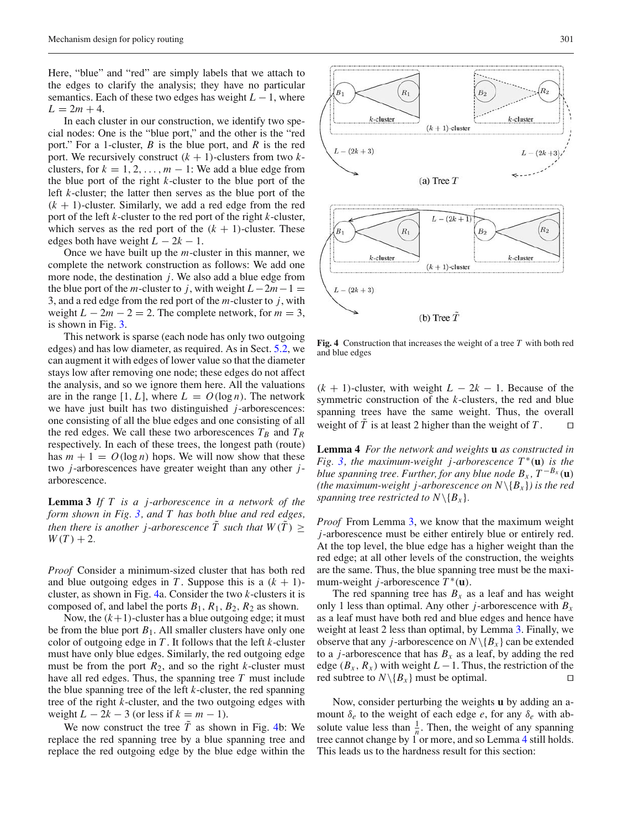Here, "blue" and "red" are simply labels that we attach to the edges to clarify the analysis; they have no particular semantics. Each of these two edges has weight *L* −1, where  $L = 2m + 4.$ 

In each cluster in our construction, we identify two special nodes: One is the "blue port," and the other is the "red port." For a 1-cluster, *B* is the blue port, and *R* is the red port. We recursively construct  $(k + 1)$ -clusters from two  $k$ clusters, for  $k = 1, 2, \ldots, m - 1$ : We add a blue edge from the blue port of the right *k*-cluster to the blue port of the left *k*-cluster; the latter then serves as the blue port of the  $(k + 1)$ -cluster. Similarly, we add a red edge from the red port of the left *k*-cluster to the red port of the right *k*-cluster, which serves as the red port of the  $(k + 1)$ -cluster. These edges both have weight  $L - 2k - 1$ .

Once we have built up the *m*-cluster in this manner, we complete the network construction as follows: We add one more node, the destination *j*. We also add a blue edge from the blue port of the *m*-cluster to *j*, with weight  $L-2m-1=$ 3, and a red edge from the red port of the *m*-cluster to *j*, with weight  $L - 2m - 2 = 2$ . The complete network, for  $m = 3$ , is shown in Fig. [3.](#page-7-2)

This network is sparse (each node has only two outgoing edges) and has low diameter, as required. As in Sect. [5.2,](#page-6-0) we can augment it with edges of lower value so that the diameter stays low after removing one node; these edges do not affect the analysis, and so we ignore them here. All the valuations are in the range  $[1, L]$ , where  $L = O(\log n)$ . The network we have just built has two distinguished *j*-arborescences: one consisting of all the blue edges and one consisting of all the red edges. We call these two arborescences  $T_B$  and  $T_R$ respectively. In each of these trees, the longest path (route) has  $m + 1 = O(\log n)$  hops. We will now show that these two *j*-arborescences have greater weight than any other *j*arborescence.

<span id="page-8-1"></span>**Lemma 3** *If T is a j-arborescence in a network of the form shown in Fig. [3,](#page-7-2) and T has both blue and red edges, then there is another j-arborescence*  $\tilde{T}$  *such that*  $W(\tilde{T})$  >  $W(T) + 2$ .

*Proof* Consider a minimum-sized cluster that has both red and blue outgoing edges in *T*. Suppose this is a  $(k + 1)$ cluster, as shown in Fig. [4a](#page-8-0). Consider the two *k*-clusters it is composed of, and label the ports  $B_1$ ,  $R_1$ ,  $B_2$ ,  $R_2$  as shown.

Now, the  $(k+1)$ -cluster has a blue outgoing edge; it must be from the blue port  $B_1$ . All smaller clusters have only one color of outgoing edge in *T* . It follows that the left *k*-cluster must have only blue edges. Similarly, the red outgoing edge must be from the port  $R_2$ , and so the right  $k$ -cluster must have all red edges. Thus, the spanning tree *T* must include the blue spanning tree of the left *k*-cluster, the red spanning tree of the right *k*-cluster, and the two outgoing edges with weight  $L - 2k - 3$  (or less if  $k = m - 1$ ).

We now construct the tree  $\tilde{T}$  as shown in Fig. [4b](#page-8-0): We replace the red spanning tree by a blue spanning tree and replace the red outgoing edge by the blue edge within the



(b) Tree  $T$ 

<span id="page-8-0"></span>**Fig. 4** Construction that increases the weight of a tree *T* with both red and blue edges

 $(k + 1)$ -cluster, with weight  $L - 2k - 1$ . Because of the symmetric construction of the *k*-clusters, the red and blue spanning trees have the same weight. Thus, the overall weight of  $\tilde{T}$  is at least 2 higher than the weight of  $T$ .

<span id="page-8-2"></span>**Lemma 4** *For the network and weights* **u** *as constructed in Fig.* [3,](#page-7-2) the maximum-weight *j*-arborescence  $T^*(u)$  *is the blue spanning tree. Further, for any blue node*  $B_x$ ,  $T^{-B_x}(\mathbf{u})$ *(the maximum-weight j-arborescence on N* $\{B_x\}$ *) is the red spanning tree restricted to*  $N \setminus \{B_x\}$ *.* 

*Proof* From Lemma [3,](#page-8-1) we know that the maximum weight *j*-arborescence must be either entirely blue or entirely red. At the top level, the blue edge has a higher weight than the red edge; at all other levels of the construction, the weights are the same. Thus, the blue spanning tree must be the maximum-weight *j*-arborescence *T* <sup>∗</sup>(**u**).

The red spanning tree has  $B_x$  as a leaf and has weight only 1 less than optimal. Any other *j*-arborescence with  $B_x$ as a leaf must have both red and blue edges and hence have weight at least 2 less than optimal, by Lemma [3.](#page-8-1) Finally, we observe that any *j*-arborescence on  $N \setminus \{B_x\}$  can be extended to a *j*-arborescence that has  $B_x$  as a leaf, by adding the red edge ( $B_x$ ,  $R_x$ ) with weight  $L-1$ . Thus, the restriction of the red subtree to  $N \setminus \{B_x\}$  must be optimal.

<span id="page-8-3"></span>Now, consider perturbing the weights **u** by adding an amount  $\delta_e$  to the weight of each edge *e*, for any  $\delta_e$  with absolute value less than  $\frac{1}{n}$ . Then, the weight of any spanning tree cannot change by 1 or more, and so Lemma [4](#page-8-2) still holds. This leads us to the hardness result for this section: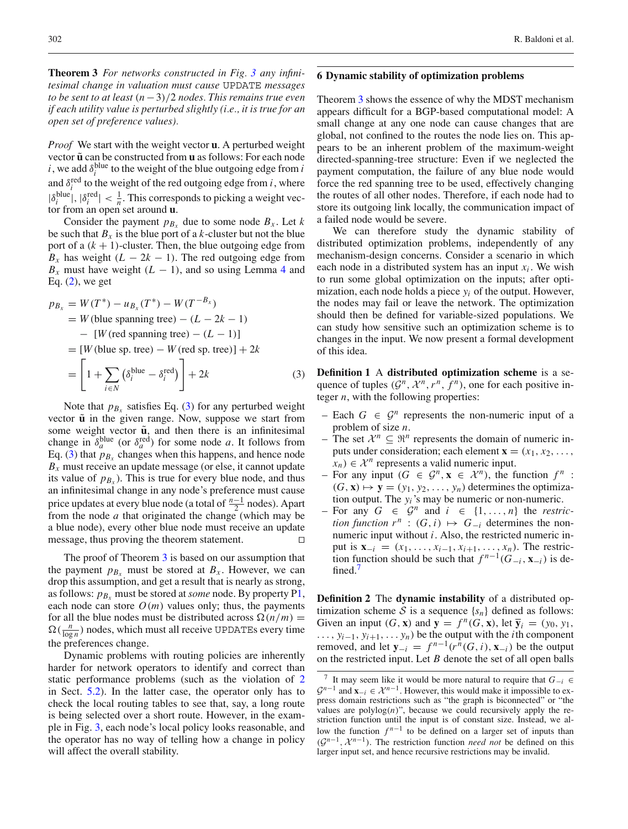**Theorem 3** *For networks constructed in Fig. [3](#page-7-2) any infinitesimal change in valuation must cause* UPDATE *messages to be sent to at least* (*n* −3)/2 *nodes. This remains true even if each utility value is perturbed slightly (i.e., it is true for an open set of preference values).*

*Proof* We start with the weight vector **u**. A perturbed weight vector  $\tilde{u}$  can be constructed from **u** as follows: For each node *i*, we add  $\delta_i^{\text{blue}}$  to the weight of the blue outgoing edge from *i* and  $\delta_i^{\text{red}}$  to the weight of the red outgoing edge from *i*, where  $|\delta_i^{\text{blue}}|$ ,  $|\delta_i^{\text{red}}| < \frac{1}{n}$ . This corresponds to picking a weight vector from an open set around **u**.

Consider the payment  $p_{B_x}$  due to some node  $B_x$ . Let *k* be such that  $B_x$  is the blue port of a *k*-cluster but not the blue port of a  $(k + 1)$ -cluster. Then, the blue outgoing edge from *B<sub>x</sub>* has weight  $(L - 2k - 1)$ . The red outgoing edge from  $B_x$  must have weight  $(L - 1)$ , and so using Lemma [4](#page-8-2) and Eq.  $(2)$ , we get

<span id="page-9-1"></span>
$$
p_{B_x} = W(T^*) - u_{B_x}(T^*) - W(T^{-B_x})
$$
  
= W (blue spanning tree) - (L - 2k - 1)  
- [W (red spanning tree) - (L - 1)]  
= [W (blue sp. tree) - W (red sp. tree)] + 2k  
=  $\left[1 + \sum_{k=1}^{\infty} (\delta_i^{blue} - \delta_i^{red})\right] + 2k$  (3)

*i*∈*N* Note that  $p_{B_x}$  satisfies Eq. [\(3\)](#page-9-1) for any perturbed weight vector  $\tilde{u}$  in the given range. Now, suppose we start from some weight vector  $\tilde{u}$ , and then there is an infinitesimal change in  $\delta_a^{\text{blue}}$  (or  $\delta_a^{\text{red}}$ ) for some node *a*. It follows from Eq. [\(3\)](#page-9-1) that  $p_{B_x}$  changes when this happens, and hence node  $B<sub>x</sub>$  must receive an update message (or else, it cannot update its value of  $p_{B<sub>x</sub>}$ ). This is true for every blue node, and thus an infinitesimal change in any node's preference must cause price updates at every blue node (a total of *<sup>n</sup>*−<sup>1</sup> <sup>2</sup> nodes). Apart from the node *a* that originated the change (which may be a blue node), every other blue node must receive an update message, thus proving the theorem statement. 

The proof of Theorem [3](#page-8-3) is based on our assumption that the payment  $p_{B_x}$  must be stored at  $B_x$ . However, we can drop this assumption, and get a result that is nearly as strong, as follows:  $p_{B_x}$  must be stored at *some* node. By property [P1,](#page-5-5) each node can store  $O(m)$  values only; thus, the payments for all the blue nodes must be distributed across  $\Omega(n/m)$  =  $\Omega(\frac{n}{\log n})$  nodes, which must all receive UPDATEs every time the preferences change.

Dynamic problems with routing policies are inherently harder for network operators to identify and correct than static performance problems (such as the violation of [2](#page-5-6) in Sect. [5.2\)](#page-6-0). In the latter case, the operator only has to check the local routing tables to see that, say, a long route is being selected over a short route. However, in the example in Fig. [3,](#page-7-2) each node's local policy looks reasonable, and the operator has no way of telling how a change in policy will affect the overall stability.

## <span id="page-9-0"></span>**6 Dynamic stability of optimization problems**

Theorem [3](#page-8-3) shows the essence of why the MDST mechanism appears difficult for a BGP-based computational model: A small change at any one node can cause changes that are global, not confined to the routes the node lies on. This appears to be an inherent problem of the maximum-weight directed-spanning-tree structure: Even if we neglected the payment computation, the failure of any blue node would force the red spanning tree to be used, effectively changing the routes of all other nodes. Therefore, if each node had to store its outgoing link locally, the communication impact of a failed node would be severe.

We can therefore study the dynamic stability of distributed optimization problems, independently of any mechanism-design concerns. Consider a scenario in which each node in a distributed system has an input  $x_i$ . We wish to run some global optimization on the inputs; after optimization, each node holds a piece *yi* of the output. However, the nodes may fail or leave the network. The optimization should then be defined for variable-sized populations. We can study how sensitive such an optimization scheme is to changes in the input. We now present a formal development of this idea.

<span id="page-9-3"></span>**Definition 1** A **distributed optimization scheme** is a sequence of tuples  $(G^n, \mathcal{X}^n, r^n, f^n)$ , one for each positive integer *n*, with the following properties:

- Each  $G \in \mathcal{G}^n$  represents the non-numeric input of a problem of size *n*.
- The set  $\mathcal{X}^n$  ⊆  $\mathbb{R}^n$  represents the domain of numeric inputs under consideration; each element  $\mathbf{x} = (x_1, x_2, \dots, x_n)$  $x_n$ )  $\in \mathcal{X}^n$  represents a valid numeric input.
- For any input (*G* ∈  $\mathcal{G}^n$ , **x** ∈  $\mathcal{X}^n$ ), the function  $f^n$  :  $(G, \mathbf{x}) \mapsto \mathbf{y} = (y_1, y_2, \dots, y_n)$  determines the optimization output. The *yi*'s may be numeric or non-numeric.
- $-$  For any  $G \in \mathcal{G}^n$  and  $i \in \{1, ..., n\}$  the *restriction function*  $r^n$  :  $(G, i) \mapsto G_{-i}$  determines the nonnumeric input without *i*. Also, the restricted numeric input is  $\mathbf{x}_{-i} = (x_1, \ldots, x_{i-1}, x_{i+1}, \ldots, x_n)$ . The restriction function should be such that  $f^{n-1}(G_{-i}, \mathbf{x}_{-i})$  is defined.<sup>7</sup>

<span id="page-9-4"></span>**Definition 2** The **dynamic instability** of a distributed optimization scheme S is a sequence  $\{s_n\}$  defined as follows: Given an input  $(G, \mathbf{x})$  and  $\mathbf{y} = f^n(G, \mathbf{x})$ , let  $\overline{\mathbf{y}}_i = (y_0, y_1,$ ..., *yi*<sup>−</sup>1, *yi*<sup>+</sup>1,... *yn*) be the output with the *i*th component removed, and let  $\mathbf{y}_{-i} = f^{n-1}(r^n(G, i), \mathbf{x}_{-i})$  be the output on the restricted input. Let *B* denote the set of all open balls

<span id="page-9-2"></span><sup>7</sup> It may seem like it would be more natural to require that *G*−*<sup>i</sup>* ∈  $\mathcal{G}^{n-1}$  and  $\mathbf{x}_{-i} \in \mathcal{X}^{n-1}$ . However, this would make it impossible to express domain restrictions such as "the graph is biconnected" or "the values are  $polylog(n)$ ", because we could recursively apply the restriction function until the input is of constant size. Instead, we allow the function  $f^{n-1}$  to be defined on a larger set of inputs than  $(G^{n-1}, \mathcal{X}^{n-1})$ . The restriction function *need not* be defined on this larger input set, and hence recursive restrictions may be invalid.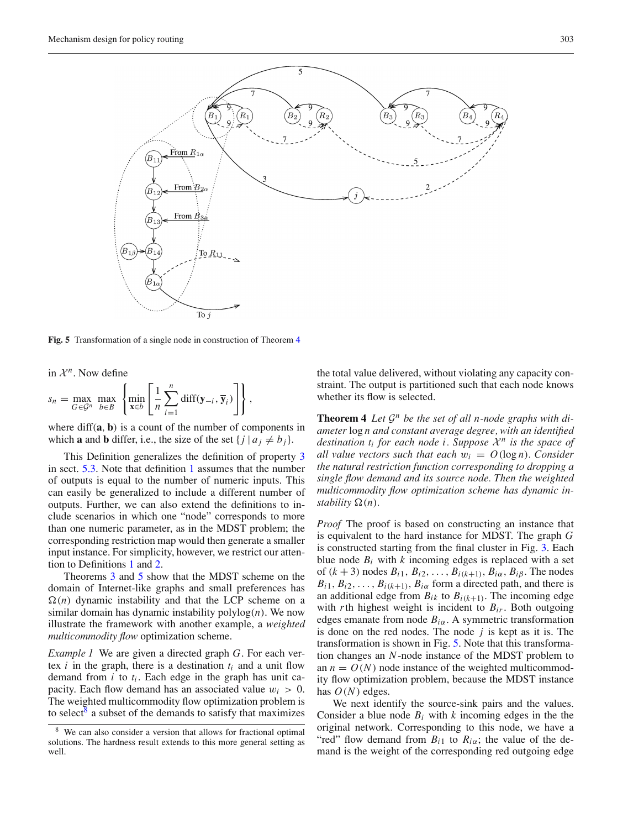

<span id="page-10-2"></span>**Fig. 5** Transformation of a single node in construction of Theorem [4](#page-10-0)

To  $R_{11}$ 

To  $j$ 

in  $\mathcal{X}^n$ . Now define

$$
s_n = \max_{G \in \mathcal{G}^n} \max_{b \in B} \left\{ \min_{\mathbf{x} \in b} \left[ \frac{1}{n} \sum_{i=1}^n \text{diff}(\mathbf{y}_{-i}, \overline{\mathbf{y}}_i) \right] \right\},
$$

 $\it{B}_{11}$ 

where  $diff(a, b)$  is a count of the number of components in which **a** and **b** differ, i.e., the size of the set  $\{j \mid a_j \neq b_j\}$ .

This Definition generalizes the definition of property [3](#page-5-7) in sect. [5.3.](#page-7-0) Note that definition [1](#page-9-3) assumes that the number of outputs is equal to the number of numeric inputs. This can easily be generalized to include a different number of outputs. Further, we can also extend the definitions to include scenarios in which one "node" corresponds to more than one numeric parameter, as in the MDST problem; the corresponding restriction map would then generate a smaller input instance. For simplicity, however, we restrict our attention to Definitions [1](#page-9-3) and [2.](#page-9-4)

Theorems [3](#page-8-3) and [5](#page-11-1) show that the MDST scheme on the domain of Internet-like graphs and small preferences has  $\Omega(n)$  dynamic instability and that the LCP scheme on a similar domain has dynamic instability polylog(*n*). We now illustrate the framework with another example, a *weighted multicommodity flow* optimization scheme.

*Example 1* We are given a directed graph *G*. For each vertex *i* in the graph, there is a destination *ti* and a unit flow demand from *i* to *ti* . Each edge in the graph has unit capacity. Each flow demand has an associated value  $w_i > 0$ . The weighted multicommodity flow optimization problem is to select<sup>8</sup> a subset of the demands to satisfy that maximizes the total value delivered, without violating any capacity constraint. The output is partitioned such that each node knows whether its flow is selected.

<span id="page-10-0"></span>**Theorem 4** Let  $\mathcal{G}^n$  be the set of all n-node graphs with di*ameter* log *n and constant average degree, with an identified destination t<sub>i</sub> for each node i. Suppose*  $\mathcal{X}^n$  *is the space of all value vectors such that each*  $w_i = O(\log n)$ *. Consider the natural restriction function corresponding to dropping a single flow demand and its source node. Then the weighted multicommodity flow optimization scheme has dynamic in*stability  $\Omega(n)$ .

*Proof* The proof is based on constructing an instance that is equivalent to the hard instance for MDST. The graph *G* is constructed starting from the final cluster in Fig. [3.](#page-7-2) Each blue node  $B_i$  with  $k$  incoming edges is replaced with a set of  $(k+3)$  nodes  $B_{i1}$ ,  $B_{i2}$ , ...,  $B_{i(k+1)}$ ,  $B_{i\alpha}$ ,  $B_{i\beta}$ . The nodes  $B_{i1}, B_{i2}, \ldots, B_{i(k+1)}, B_{i\alpha}$  form a directed path, and there is an additional edge from  $B_{ik}$  to  $B_{i(k+1)}$ . The incoming edge with *r*th highest weight is incident to *Bir*. Both outgoing edges emanate from node  $B_{i\alpha}$ . A symmetric transformation is done on the red nodes. The node *j* is kept as it is. The transformation is shown in Fig. [5.](#page-10-2) Note that this transformation changes an *N*-node instance of the MDST problem to an  $n = O(N)$  node instance of the weighted multicommodity flow optimization problem, because the MDST instance has  $O(N)$  edges.

We next identify the source-sink pairs and the values. Consider a blue node  $B_i$  with  $k$  incoming edges in the the original network. Corresponding to this node, we have a "red" flow demand from  $B_{i1}$  to  $R_{i\alpha}$ ; the value of the demand is the weight of the corresponding red outgoing edge

<span id="page-10-1"></span>We can also consider a version that allows for fractional optimal solutions. The hardness result extends to this more general setting as well.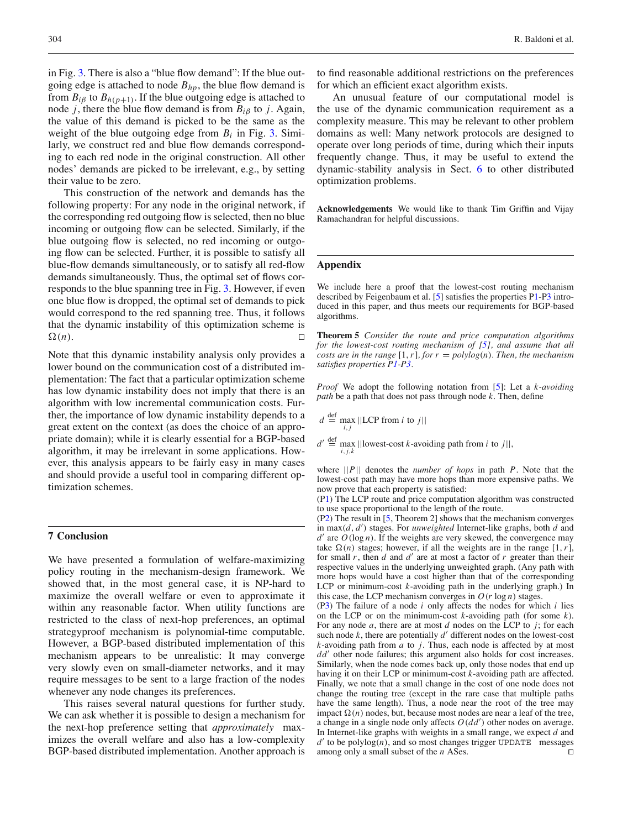in Fig. [3.](#page-7-2) There is also a "blue flow demand": If the blue outgoing edge is attached to node  $B_{hp}$ , the blue flow demand is from  $B_{i\beta}$  to  $B_{h(p+1)}$ . If the blue outgoing edge is attached to node *j*, there the blue flow demand is from  $B_{i\beta}$  to *j*. Again, the value of this demand is picked to be the same as the weight of the blue outgoing edge from  $B_i$  in Fig. [3.](#page-7-2) Similarly, we construct red and blue flow demands corresponding to each red node in the original construction. All other nodes' demands are picked to be irrelevant, e.g., by setting their value to be zero.

This construction of the network and demands has the following property: For any node in the original network, if the corresponding red outgoing flow is selected, then no blue incoming or outgoing flow can be selected. Similarly, if the blue outgoing flow is selected, no red incoming or outgoing flow can be selected. Further, it is possible to satisfy all blue-flow demands simultaneously, or to satisfy all red-flow demands simultaneously. Thus, the optimal set of flows corresponds to the blue spanning tree in Fig. [3.](#page-7-2) However, if even one blue flow is dropped, the optimal set of demands to pick would correspond to the red spanning tree. Thus, it follows that the dynamic instability of this optimization scheme is  $\Omega(n)$ . (*n*). 

Note that this dynamic instability analysis only provides a lower bound on the communication cost of a distributed implementation: The fact that a particular optimization scheme has low dynamic instability does not imply that there is an algorithm with low incremental communication costs. Further, the importance of low dynamic instability depends to a great extent on the context (as does the choice of an appropriate domain); while it is clearly essential for a BGP-based algorithm, it may be irrelevant in some applications. However, this analysis appears to be fairly easy in many cases and should provide a useful tool in comparing different optimization schemes.

## <span id="page-11-0"></span>**7 Conclusion**

We have presented a formulation of welfare-maximizing policy routing in the mechanism-design framework. We showed that, in the most general case, it is NP-hard to maximize the overall welfare or even to approximate it within any reasonable factor. When utility functions are restricted to the class of next-hop preferences, an optimal strategyproof mechanism is polynomial-time computable. However, a BGP-based distributed implementation of this mechanism appears to be unrealistic: It may converge very slowly even on small-diameter networks, and it may require messages to be sent to a large fraction of the nodes whenever any node changes its preferences.

This raises several natural questions for further study. We can ask whether it is possible to design a mechanism for the next-hop preference setting that *approximately* maximizes the overall welfare and also has a low-complexity BGP-based distributed implementation. Another approach is to find reasonable additional restrictions on the preferences for which an efficient exact algorithm exists.

An unusual feature of our computational model is the use of the dynamic communication requirement as a complexity measure. This may be relevant to other problem domains as well: Many network protocols are designed to operate over long periods of time, during which their inputs frequently change. Thus, it may be useful to extend the dynamic-stability analysis in Sect. [6](#page-9-0) to other distributed optimization problems.

**Acknowledgements** We would like to thank Tim Griffin and Vijay Ramachandran for helpful discussions.

## **Appendix**

We include here a proof that the lowest-cost routing mechanism described by Feigenbaum et al. [\[5](#page-12-6)] satisfies the properties [P1-](#page-5-5)[P3](#page-5-7) introduced in this paper, and thus meets our requirements for BGP-based algorithms.

<span id="page-11-1"></span>**Theorem 5** *Consider the route and price computation algorithms for the lowest-cost routing mechanism of [\[5\]](#page-12-6), and assume that all costs are in the range*  $[1, r]$ *, for*  $r = polylog(n)$ *. Then, the mechanism satisfies properties [P1-](#page-5-5)[P3.](#page-5-7)*

*Proof* We adopt the following notation from [\[5](#page-12-6)]: Let a *k-avoiding path* be a path that does not pass through node *k*. Then, define

 $d \stackrel{\text{def}}{=} \max_{i,j} ||\text{LCP from } i \text{ to } j||$ 

 $d' \stackrel{\text{def}}{=} \max_{i,j,k} ||\text{lowest-cost } k\text{-avoiding path from } i \text{ to } j||,$ 

where  $||P||$  denotes the *number of hops* in path *P*. Note that the lowest-cost path may have more hops than more expensive paths. We now prove that each property is satisfied:

([P1\)](#page-5-5) The LCP route and price computation algorithm was constructed to use space proportional to the length of the route.

([P2\)](#page-5-6) The result in [\[5,](#page-12-6) Theorem 2] shows that the mechanism converges in max(*d*, *d* ) stages. For *unweighted* Internet-like graphs, both *d* and  $d'$  are  $O(\log n)$ . If the weights are very skewed, the convergence may take  $\Omega(n)$  stages; however, if all the weights are in the range [1, *r*], for small  $r$ , then  $d$  and  $d'$  are at most a factor of  $r$  greater than their respective values in the underlying unweighted graph. (Any path with more hops would have a cost higher than that of the corresponding LCP or minimum-cost *k*-avoiding path in the underlying graph.) In this case, the LCP mechanism converges in  $O(r \log n)$  stages.

([P3\)](#page-5-7) The failure of a node *i* only affects the nodes for which *i* lies on the LCP or on the minimum-cost *k*-avoiding path (for some *k*). For any node *a*, there are at most *d* nodes on the LCP to *j*; for each such node  $k$ , there are potentially  $d'$  different nodes on the lowest-cost *k*-avoiding path from *a* to *j*. Thus, each node is affected by at most dd' other node failures; this argument also holds for cost increases. Similarly, when the node comes back up, only those nodes that end up having it on their LCP or minimum-cost *k*-avoiding path are affected. Finally, we note that a small change in the cost of one node does not change the routing tree (except in the rare case that multiple paths have the same length). Thus, a node near the root of the tree may impact  $\Omega(n)$  nodes, but, because most nodes are near a leaf of the tree, a change in a single node only affects  $O(dd')$  other nodes on average. In Internet-like graphs with weights in a small range, we expect *d* and  $d'$  to be polylog $(n)$ , and so most changes trigger UPDATE messages among only a small subset of the *n* ASes.